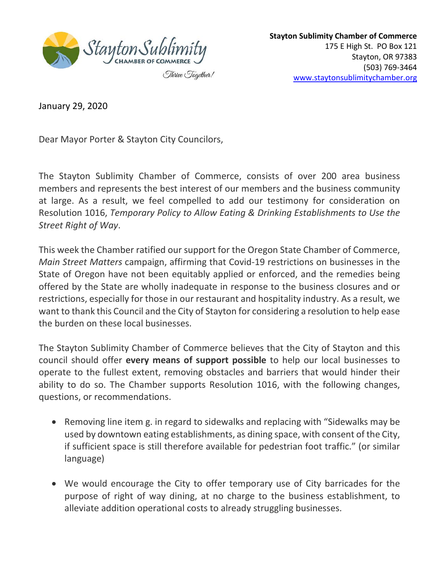

**Stayton Sublimity Chamber of Commerce** 175 E High St. PO Box 121 Stayton, OR 97383 (503) 769-3464 [www.staytonsublimitychamber.org](http://www.staytonsublimitychamber.org/)

January 29, 2020

Dear Mayor Porter & Stayton City Councilors,

The Stayton Sublimity Chamber of Commerce, consists of over 200 area business members and represents the best interest of our members and the business community at large. As a result, we feel compelled to add our testimony for consideration on Resolution 1016, *Temporary Policy to Allow Eating & Drinking Establishments to Use the Street Right of Way*.

This week the Chamber ratified our support for the Oregon State Chamber of Commerce, *Main Street Matters* campaign, affirming that Covid-19 restrictions on businesses in the State of Oregon have not been equitably applied or enforced, and the remedies being offered by the State are wholly inadequate in response to the business closures and or restrictions, especially for those in our restaurant and hospitality industry. As a result, we want to thank this Council and the City of Stayton for considering a resolution to help ease the burden on these local businesses.

The Stayton Sublimity Chamber of Commerce believes that the City of Stayton and this council should offer **every means of support possible** to help our local businesses to operate to the fullest extent, removing obstacles and barriers that would hinder their ability to do so. The Chamber supports Resolution 1016, with the following changes, questions, or recommendations.

- Removing line item g. in regard to sidewalks and replacing with "Sidewalks may be used by downtown eating establishments, as dining space, with consent of the City, if sufficient space is still therefore available for pedestrian foot traffic." (or similar language)
- We would encourage the City to offer temporary use of City barricades for the purpose of right of way dining, at no charge to the business establishment, to alleviate addition operational costs to already struggling businesses.